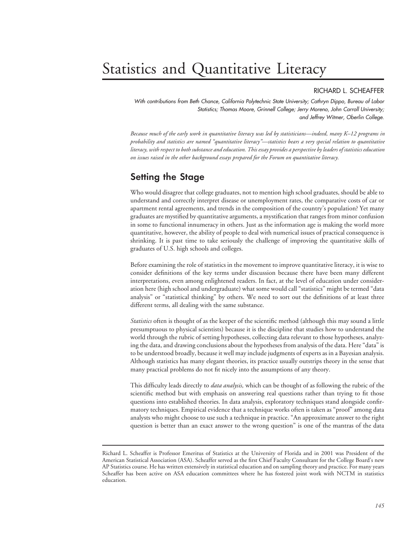# Statistics and Quantitative Literacy

#### RICHARD L. SCHEAFFER

*With contributions from Beth Chance, California Polytechnic State University; Cathryn Dippo, Bureau of Labor Statistics; Thomas Moore, Grinnell College; Jerry Moreno, John Carroll University; and Jeffrey Witmer, Oberlin College.*

*Because much of the early work in quantitative literacy was led by statisticians—indeed, many K–12 programs in probability and statistics are named "quantitative literacy"—statistics bears a very special relation to quantitative literacy, with respect to both substance and education. This essay provides a perspective by leaders of statistics education on issues raised in the other background essays prepared for the Forum on quantitative literacy.*

# **Setting the Stage**

Who would disagree that college graduates, not to mention high school graduates, should be able to understand and correctly interpret disease or unemployment rates, the comparative costs of car or apartment rental agreements, and trends in the composition of the country's population? Yet many graduates are mystified by quantitative arguments, a mystification that ranges from minor confusion in some to functional innumeracy in others. Just as the information age is making the world more quantitative, however, the ability of people to deal with numerical issues of practical consequence is shrinking. It is past time to take seriously the challenge of improving the quantitative skills of graduates of U.S. high schools and colleges.

Before examining the role of statistics in the movement to improve quantitative literacy, it is wise to consider definitions of the key terms under discussion because there have been many different interpretations, even among enlightened readers. In fact, at the level of education under consideration here (high school and undergraduate) what some would call "statistics" might be termed "data analysis" or "statistical thinking" by others. We need to sort out the definitions of at least three different terms, all dealing with the same substance.

*Statistics* often is thought of as the keeper of the scientific method (although this may sound a little presumptuous to physical scientists) because it is the discipline that studies how to understand the world through the rubric of setting hypotheses, collecting data relevant to those hypotheses, analyzing the data, and drawing conclusions about the hypotheses from analysis of the data. Here "data" is to be understood broadly, because it well may include judgments of experts as in a Bayesian analysis. Although statistics has many elegant theories, its practice usually outstrips theory in the sense that many practical problems do not fit nicely into the assumptions of any theory.

This difficulty leads directly to *data analysis,* which can be thought of as following the rubric of the scientific method but with emphasis on answering real questions rather than trying to fit those questions into established theories. In data analysis, exploratory techniques stand alongside confirmatory techniques. Empirical evidence that a technique works often is taken as "proof" among data analysts who might choose to use such a technique in practice. "An approximate answer to the right question is better than an exact answer to the wrong question" is one of the mantras of the data

Richard L. Scheaffer is Professor Emeritus of Statistics at the University of Florida and in 2001 was President of the American Statistical Association (ASA). Scheaffer served as the first Chief Faculty Consultant for the College Board's new AP Statistics course. He has written extensively in statistical education and on sampling theory and practice. For many years Scheaffer has been active on ASA education committees where he has fostered joint work with NCTM in statistics education.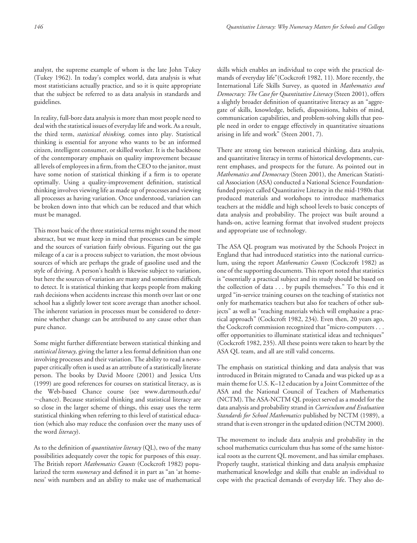analyst, the supreme example of whom is the late John Tukey (Tukey 1962). In today's complex world, data analysis is what most statisticians actually practice, and so it is quite appropriate that the subject be referred to as data analysis in standards and guidelines.

In reality, full-bore data analysis is more than most people need to deal with the statistical issues of everyday life and work. As a result, the third term, *statistical thinking,* comes into play. Statistical thinking is essential for anyone who wants to be an informed citizen, intelligent consumer, or skilled worker. It is the backbone of the contemporary emphasis on quality improvement because all levels of employees in a firm, from the CEO to the janitor, must have some notion of statistical thinking if a firm is to operate optimally. Using a quality-improvement definition, statistical thinking involves viewing life as made up of processes and viewing all processes as having variation. Once understood, variation can be broken down into that which can be reduced and that which must be managed.

This most basic of the three statistical terms might sound the most abstract, but we must keep in mind that processes can be simple and the sources of variation fairly obvious. Figuring out the gas mileage of a car is a process subject to variation, the most obvious sources of which are perhaps the grade of gasoline used and the style of driving. A person's health is likewise subject to variation, but here the sources of variation are many and sometimes difficult to detect. It is statistical thinking that keeps people from making rash decisions when accidents increase this month over last or one school has a slightly lower test score average than another school. The inherent variation in processes must be considered to determine whether change can be attributed to any cause other than pure chance.

Some might further differentiate between statistical thinking and *statistical literacy,* giving the latter a less formal definition than one involving processes and their variation. The ability to read a newspaper critically often is used as an attribute of a statistically literate person. The books by David Moore (2001) and Jessica Utts (1999) are good references for courses on statistical literacy, as is the Web-based Chance course (see www.dartmouth.edu/  $\sim$ chance). Because statistical thinking and statistical literacy are so close in the larger scheme of things, this essay uses the term statistical thinking when referring to this level of statistical education (which also may reduce the confusion over the many uses of the word *literacy*).

As to the definition of *quantitative literacy* (QL), two of the many possibilities adequately cover the topic for purposes of this essay. The British report *Mathematics Counts* (Cockcroft 1982) popularized the term *numeracy* and defined it in part as "an 'at homeness' with numbers and an ability to make use of mathematical skills which enables an individual to cope with the practical demands of everyday life"(Cockcroft 1982, 11). More recently, the International Life Skills Survey, as quoted in *Mathematics and Democracy: The Case for Quantitative Literacy* (Steen 2001), offers a slightly broader definition of quantitative literacy as an "aggregate of skills, knowledge, beliefs, dispositions, habits of mind, communication capabilities, and problem-solving skills that people need in order to engage effectively in quantitative situations arising in life and work" (Steen 2001, 7).

There are strong ties between statistical thinking, data analysis, and quantitative literacy in terms of historical developments, current emphases, and prospects for the future. As pointed out in *Mathematics and Democracy* (Steen 2001), the American Statistical Association (ASA) conducted a National Science Foundationfunded project called Quantitative Literacy in the mid-1980s that produced materials and workshops to introduce mathematics teachers at the middle and high school levels to basic concepts of data analysis and probability. The project was built around a hands-on, active learning format that involved student projects and appropriate use of technology.

The ASA QL program was motivated by the Schools Project in England that had introduced statistics into the national curriculum, using the report *Mathematics Counts* (Cockcroft 1982) as one of the supporting documents. This report noted that statistics is "essentially a practical subject and its study should be based on the collection of data . . . by pupils themselves." To this end it urged "in-service training courses on the teaching of statistics not only for mathematics teachers but also for teachers of other subjects" as well as "teaching materials which will emphasize a practical approach" (Cockcroft 1982, 234). Even then, 20 years ago, the Cockcroft commission recognized that "micro-computers . . . offer opportunities to illuminate statistical ideas and techniques" (Cockcroft 1982, 235). All these points were taken to heart by the ASA QL team, and all are still valid concerns.

The emphasis on statistical thinking and data analysis that was introduced in Britain migrated to Canada and was picked up as a main theme for U.S. K–12 education by a Joint Committee of the ASA and the National Council of Teachers of Mathematics (NCTM). The ASA-NCTM QL project served as a model for the data analysis and probability strand in *Curriculum and Evaluation Standards for School Mathematics* published by NCTM (1989), a strand that is even stronger in the updated edition (NCTM 2000).

The movement to include data analysis and probability in the school mathematics curriculum thus has some of the same historical roots as the current QL movement, and has similar emphases. Properly taught, statistical thinking and data analysis emphasize mathematical knowledge and skills that enable an individual to cope with the practical demands of everyday life. They also de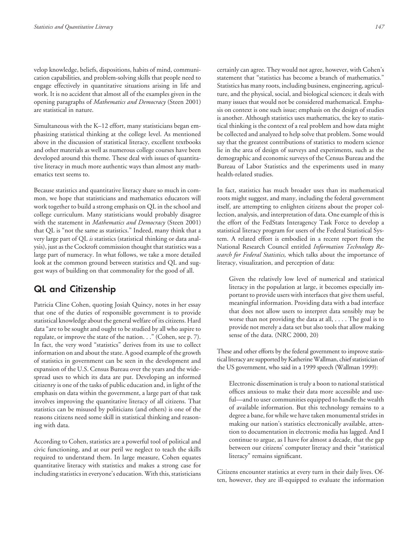velop knowledge, beliefs, dispositions, habits of mind, communication capabilities, and problem-solving skills that people need to engage effectively in quantitative situations arising in life and work. It is no accident that almost all of the examples given in the opening paragraphs of *Mathematics and Democracy* (Steen 2001) are statistical in nature.

Simultaneous with the K–12 effort, many statisticians began emphasizing statistical thinking at the college level. As mentioned above in the discussion of statistical literacy, excellent textbooks and other materials as well as numerous college courses have been developed around this theme. These deal with issues of quantitative literacy in much more authentic ways than almost any mathematics text seems to.

Because statistics and quantitative literacy share so much in common, we hope that statisticians and mathematics educators will work together to build a strong emphasis on QL in the school and college curriculum. Many statisticians would probably disagree with the statement in *Mathematics and Democracy* (Steen 2001) that QL is "not the same as statistics." Indeed, many think that a very large part of QL *is* statistics (statistical thinking or data analysis), just as the Cockroft commission thought that statistics was a large part of numeracy. In what follows, we take a more detailed look at the common ground between statistics and QL and suggest ways of building on that commonality for the good of all.

## **QL and Citizenship**

Patricia Cline Cohen, quoting Josiah Quincy, notes in her essay that one of the duties of responsible government is to provide statistical knowledge about the general welfare of its citizens. Hard data "are to be sought and ought to be studied by all who aspire to regulate, or improve the state of the nation. . ." (Cohen, see p. 7). In fact, the very word "statistics" derives from its use to collect information on and about the state. A good example of the growth of statistics in government can be seen in the development and expansion of the U.S. Census Bureau over the years and the widespread uses to which its data are put. Developing an informed citizenry is one of the tasks of public education and, in light of the emphasis on data within the government, a large part of that task involves improving the quantitative literacy of all citizens. That statistics can be misused by politicians (and others) is one of the reasons citizens need some skill in statistical thinking and reasoning with data.

According to Cohen, statistics are a powerful tool of political and civic functioning, and at our peril we neglect to teach the skills required to understand them. In large measure, Cohen equates quantitative literacy with statistics and makes a strong case for including statistics in everyone's education. With this, statisticians certainly can agree. They would not agree, however, with Cohen's statement that "statistics has become a branch of mathematics." Statistics has many roots, including business, engineering, agriculture, and the physical, social, and biological sciences; it deals with many issues that would not be considered mathematical. Emphasis on context is one such issue; emphasis on the design of studies is another. Although statistics uses mathematics, the key to statistical thinking is the context of a real problem and how data might be collected and analyzed to help solve that problem. Some would say that the greatest contributions of statistics to modern science lie in the area of design of surveys and experiments, such as the demographic and economic surveys of the Census Bureau and the Bureau of Labor Statistics and the experiments used in many health-related studies.

In fact, statistics has much broader uses than its mathematical roots might suggest, and many, including the federal government itself, are attempting to enlighten citizens about the proper collection, analysis, and interpretation of data. One example of this is the effort of the FedStats Interagency Task Force to develop a statistical literacy program for users of the Federal Statistical System. A related effort is embodied in a recent report from the National Research Council entitled *Information Technology Research for Federal Statistics,* which talks about the importance of literacy, visualization, and perception of data:

Given the relatively low level of numerical and statistical literacy in the population at large, it becomes especially important to provide users with interfaces that give them useful, meaningful information. Providing data with a bad interface that does not allow users to interpret data sensibly may be worse than not providing the data at all, . . . . The goal is to provide not merely a data set but also tools that allow making sense of the data. (NRC 2000, 20)

These and other efforts by the federal government to improve statistical literacy are supported by Katherine Wallman, chief statistician of the US government, who said in a 1999 speech (Wallman 1999):

Electronic dissemination is truly a boon to national statistical offices anxious to make their data more accessible and useful—and to user communities equipped to handle the wealth of available information. But this technology remains to a degree a bane, for while we have taken monumental strides in making our nation's statistics electronically available, attention to documentation in electronic media has lagged. And I continue to argue, as I have for almost a decade, that the gap between our citizens' computer literacy and their "statistical literacy" remains significant.

Citizens encounter statistics at every turn in their daily lives. Often, however, they are ill-equipped to evaluate the information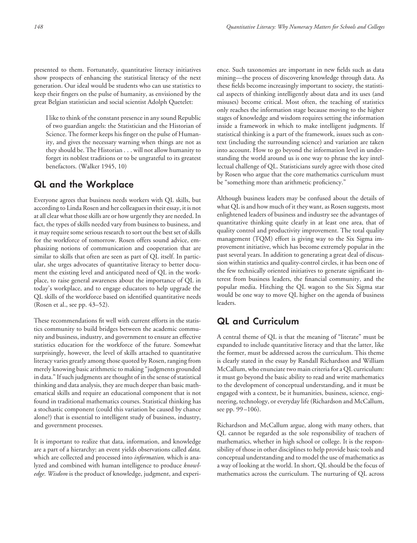presented to them. Fortunately, quantitative literacy initiatives show prospects of enhancing the statistical literacy of the next generation. Our ideal would be students who can use statistics to keep their fingers on the pulse of humanity, as envisioned by the great Belgian statistician and social scientist Adolph Quetelet:

I like to think of the constant presence in any sound Republic of two guardian angels: the Statistician and the Historian of Science. The former keeps his finger on the pulse of Humanity, and gives the necessary warning when things are not as they should be. The Historian . . . will not allow humanity to forget its noblest traditions or to be ungrateful to its greatest benefactors. (Walker 1945, 10)

#### **QL and the Workplace**

Everyone agrees that business needs workers with QL skills, but according to Linda Rosen and her colleagues in their essay, it is not at all clear what those skills are or how urgently they are needed. In fact, the types of skills needed vary from business to business, and it may require some serious research to sort out the best set of skills for the workforce of tomorrow. Rosen offers sound advice, emphasizing notions of communication and cooperation that are similar to skills that often are seen as part of QL itself. In particular, she urges advocates of quantitative literacy to better document the existing level and anticipated need of QL in the workplace, to raise general awareness about the importance of QL in today's workplace, and to engage educators to help upgrade the QL skills of the workforce based on identified quantitative needs (Rosen et al., see pp. 43–52).

These recommendations fit well with current efforts in the statistics community to build bridges between the academic community and business, industry, and government to ensure an effective statistics education for the workforce of the future. Somewhat surprisingly, however, the level of skills attached to quantitative literacy varies greatly among those quoted by Rosen, ranging from merely knowing basic arithmetic to making "judgments grounded in data." If such judgments are thought of in the sense of statistical thinking and data analysis, they are much deeper than basic mathematical skills and require an educational component that is not found in traditional mathematics courses. Statistical thinking has a stochastic component (could this variation be caused by chance alone?) that is essential to intelligent study of business, industry, and government processes.

It is important to realize that data, information, and knowledge are a part of a hierarchy: an event yields observations called *data,* which are collected and processed into *information,* which is analyzed and combined with human intelligence to produce *knowledge*. *Wisdom* is the product of knowledge, judgment, and experience. Such taxonomies are important in new fields such as data mining—the process of discovering knowledge through data. As these fields become increasingly important to society, the statistical aspects of thinking intelligently about data and its uses (and misuses) become critical. Most often, the teaching of statistics only reaches the information stage because moving to the higher stages of knowledge and wisdom requires setting the information inside a framework in which to make intelligent judgments. If statistical thinking is a part of the framework, issues such as context (including the surrounding science) and variation are taken into account. How to go beyond the information level in understanding the world around us is one way to phrase the key intellectual challenge of QL. Statisticians surely agree with those cited by Rosen who argue that the core mathematics curriculum must be "something more than arithmetic proficiency."

Although business leaders may be confused about the details of what QL is and how much of it they want, as Rosen suggests, most enlightened leaders of business and industry see the advantages of quantitative thinking quite clearly in at least one area, that of quality control and productivity improvement. The total quality management (TQM) effort is giving way to the Six Sigma improvement initiative, which has become extremely popular in the past several years. In addition to generating a great deal of discussion within statistics and quality-control circles, it has been one of the few technically oriented initiatives to generate significant interest from business leaders, the financial community, and the popular media. Hitching the QL wagon to the Six Sigma star would be one way to move QL higher on the agenda of business leaders.

# **QL and Curriculum**

A central theme of QL is that the meaning of "literate" must be expanded to include quantitative literacy and that the latter, like the former, must be addressed across the curriculum. This theme is clearly stated in the essay by Randall Richardson and William McCallum, who enunciate two main criteria for a QL curriculum: it must go beyond the basic ability to read and write mathematics to the development of conceptual understanding, and it must be engaged with a context, be it humanities, business, science, engineering, technology, or everyday life (Richardson and McCallum, see pp. 99–106).

Richardson and McCallum argue, along with many others, that QL cannot be regarded as the sole responsibility of teachers of mathematics, whether in high school or college. It is the responsibility of those in other disciplines to help provide basic tools and conceptual understanding and to model the use of mathematics as a way of looking at the world. In short, QL should be the focus of mathematics across the curriculum. The nurturing of QL across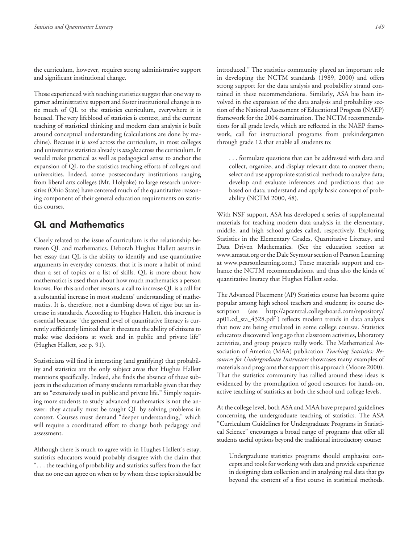the curriculum, however, requires strong administrative support and significant institutional change.

Those experienced with teaching statistics suggest that one way to garner administrative support and foster institutional change is to tie much of QL to the statistics curriculum, everywhere it is housed. The very lifeblood of statistics is context, and the current teaching of statistical thinking and modern data analysis is built around conceptual understanding (calculations are done by machine). Because it is *used* across the curriculum, in most colleges and universities statistics already is *taught* across the curriculum. It would make practical as well as pedagogical sense to anchor the expansion of QL to the statistics teaching efforts of colleges and universities. Indeed, some postsecondary institutions ranging from liberal arts colleges (Mt. Holyoke) to large research universities (Ohio State) have centered much of the quantitative reasoning component of their general education requirements on statistics courses.

# **QL and Mathematics**

Closely related to the issue of curriculum is the relationship between QL and mathematics. Deborah Hughes Hallett asserts in her essay that QL is the ability to identify and use quantitative arguments in everyday contexts, that it is more a habit of mind than a set of topics or a list of skills. QL is more about how mathematics is used than about how much mathematics a person knows. For this and other reasons, a call to increase QL is a call for a substantial increase in most students' understanding of mathematics. It is, therefore, not a dumbing down of rigor but an increase in standards. According to Hughes Hallett, this increase is essential because "the general level of quantitative literacy is currently sufficiently limited that it threatens the ability of citizens to make wise decisions at work and in public and private life" (Hughes Hallett, see p. 91).

Statisticians will find it interesting (and gratifying) that probability and statistics are the only subject areas that Hughes Hallett mentions specifically. Indeed, she finds the absence of these subjects in the education of many students remarkable given that they are so "extensively used in public and private life." Simply requiring more students to study advanced mathematics is not the answer: they actually must be taught QL by solving problems in context. Courses must demand "deeper understanding," which will require a coordinated effort to change both pedagogy and assessment.

Although there is much to agree with in Hughes Hallett's essay, statistics educators would probably disagree with the claim that ". . . the teaching of probability and statistics suffers from the fact that no one can agree on when or by whom these topics should be introduced." The statistics community played an important role in developing the NCTM standards (1989, 2000) and offers strong support for the data analysis and probability strand contained in these recommendations. Similarly, ASA has been involved in the expansion of the data analysis and probability section of the National Assessment of Educational Progress (NAEP) framework for the 2004 examination. The NCTM recommendations for all grade levels, which are reflected in the NAEP framework, call for instructional programs from prekindergarten through grade 12 that enable all students to:

. . . formulate questions that can be addressed with data and collect, organize, and display relevant data to answer them; select and use appropriate statistical methods to analyze data; develop and evaluate inferences and predictions that are based on data; understand and apply basic concepts of probability (NCTM 2000, 48).

With NSF support, ASA has developed a series of supplemental materials for teaching modern data analysis in the elementary, middle, and high school grades called, respectively, Exploring Statistics in the Elementary Grades, Quantitative Literacy, and Data Driven Mathematics. (See the education section at www.amstat.org or the Dale Seymour section of Pearson Learning at www.pearsonlearning.com.) These materials support and enhance the NCTM recommendations, and thus also the kinds of quantitative literacy that Hughes Hallett seeks.

The Advanced Placement (AP) Statistics course has become quite popular among high school teachers and students; its course description (see http://apcentral.collegeboard.com/repository/ ap01.cd\_sta\_4328.pdf ) reflects modern trends in data analysis that now are being emulated in some college courses. Statistics educators discovered long ago that classroom activities, laboratory activities, and group projects really work. The Mathematical Association of America (MAA) publication *Teaching Statistics: Resources for Undergraduate Instructors* showcases many examples of materials and programs that support this approach (Moore 2000). That the statistics community has rallied around these ideas is evidenced by the promulgation of good resources for hands-on, active teaching of statistics at both the school and college levels.

At the college level, both ASA and MAA have prepared guidelines concerning the undergraduate teaching of statistics. The ASA "Curriculum Guidelines for Undergraduate Programs in Statistical Science" encourages a broad range of programs that offer all students useful options beyond the traditional introductory course:

Undergraduate statistics programs should emphasize concepts and tools for working with data and provide experience in designing data collection and in analyzing real data that go beyond the content of a first course in statistical methods.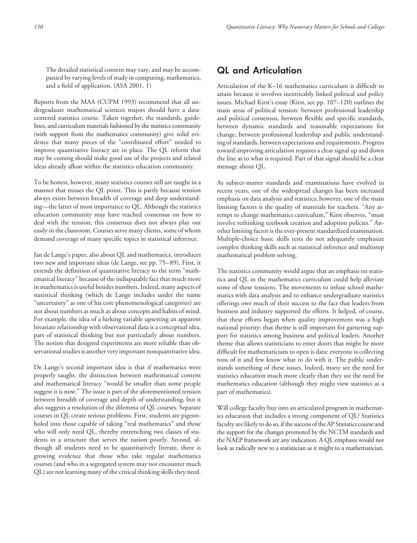The detailed statistical content may vary, and may be accompanied by varying levels of study in computing, mathematics, and a field of application. (ASA 2001, 1)

Reports from the MAA (CUPM 1993) recommend that all undergraduate mathematical sciences majors should have a datacentered statistics course. Taken together, the standards, guidelines, and curriculum materials fashioned by the statistics community (with support from the mathematics community) give solid evidence that many pieces of the "coordinated effort" needed to improve quantitative literacy are in place. The QL reform that may be coming should make good use of the projects and related ideas already afloat within the statistics education community.

To be honest, however, many statistics courses still are taught in a manner that misses the QL point. This is partly because tension always exists between breadth of coverage and deep understanding—the latter of most importance to QL. Although the statistics education community may have reached consensus on how to deal with the tension, this consensus does not always play out easily in the classroom. Courses serve many clients, some of whom demand coverage of many specific topics in statistical inference.

Jan de Lange's paper, also about QL and mathematics, introduces two new and important ideas (de Lange, see pp. 75–89). First, it extends the definition of quantitative literacy to the term "mathematical literacy" because of the indisputable fact that much more in mathematics is useful besides numbers. Indeed, many aspects of statistical thinking (which de Lange includes under the name "uncertainty" as one of his core phenomenological categories) are not about numbers as much as about concepts and habits of mind. For example, the idea of a lurking variable upsetting an apparent bivariate relationship with observational data is a conceptual idea, part of statistical thinking but not particularly about numbers. The notion that designed experiments are more reliable than observational studies is another very important nonquantitative idea.

De Lange's second important idea is that if mathematics were properly taught, the distinction between mathematical content and mathematical literacy "would be smaller than some people suggest it is now." The issue is part of the aforementioned tension between breadth of coverage and depth of understanding, but it also suggests a resolution of the dilemma of QL courses. Separate courses in QL create serious problems. First, students are pigeonholed into those capable of taking "real mathematics" and those who will only need QL, thereby entrenching two classes of students in a structure that serves the nation poorly. Second, although all students need to be quantitatively literate, there is growing evidence that those who take regular mathematics courses (and who in a segregated system may not encounter much QL) are not learning many of the critical thinking skills they need.

# **QL and Articulation**

Articulation of the K–16 mathematics curriculum is difficult to attain because it involves inextricably linked political and policy issues. Michael Kirst's essay (Kirst, see pp. 107–120) outlines the main areas of political tension: between professional leadership and political consensus, between flexible and specific standards, between dynamic standards and reasonable expectations for change, between professional leadership and public understanding of standards, between expectations and requirements. Progress toward improving articulation requires a clear signal up and down the line as to what is required. Part of that signal should be a clear message about QL.

As subject-matter standards and examinations have evolved in recent years, one of the widespread changes has been increased emphasis on data analysis and statistics; however, one of the main limiting factors is the quality of materials for teachers. "Any attempt to change mathematics curriculum," Kirst observes, "must involve rethinking textbook creation and adoption policies." Another limiting factor is the ever-present standardized examination. Multiple-choice basic skills tests do not adequately emphasize complex thinking skills such as statistical inference and multistep mathematical problem solving.

The statistics community would argue that an emphasis on statistics and QL in the mathematics curriculum could help alleviate some of these tensions. The movements to infuse school mathematics with data analysis and to enhance undergraduate statistics offerings owe much of their success to the fact that leaders from business and industry supported the efforts. It helped, of course, that these efforts began when quality improvement was a high national priority; that theme is still important for garnering support for statistics among business and political leaders. Another theme that allows statisticians to enter doors that might be more difficult for mathematicians to open is data: everyone is collecting tons of it and few know what to do with it. The public understands something of these issues. Indeed, many see the need for statistics education much more clearly than they see the need for mathematics education (although they might view statistics as a part of mathematics).

Will college faculty buy into an articulated program in mathematics education that includes a strong component of QL? Statistics faculty are likely to do so, if the success of the AP Statistics course and the support for the changes promoted by the NCTM standards and the NAEP framework are any indication. A QL emphasis would not look as radically new to a statistician as it might to a mathematician.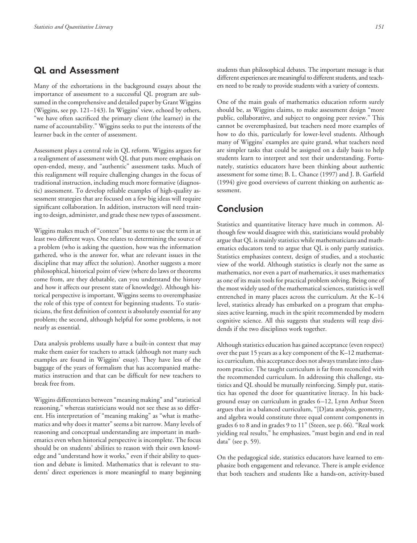#### **QL and Assessment**

Many of the exhortations in the background essays about the importance of assessment to a successful QL program are subsumed in the comprehensive and detailed paper by Grant Wiggins (Wiggins, see pp. 121–143). In Wiggins' view, echoed by others, "we have often sacrificed the primary client (the learner) in the name of accountability." Wiggins seeks to put the interests of the learner back in the center of assessment.

Assessment plays a central role in QL reform. Wiggins argues for a realignment of assessment with QL that puts more emphasis on open-ended, messy, and "authentic" assessment tasks. Much of this realignment will require challenging changes in the focus of traditional instruction, including much more formative (diagnostic) assessment. To develop reliable examples of high-quality assessment strategies that are focused on a few big ideas will require significant collaboration. In addition, instructors will need training to design, administer, and grade these new types of assessment.

Wiggins makes much of "context" but seems to use the term in at least two different ways. One relates to determining the source of a problem (who is asking the question, how was the information gathered, who is the answer for, what are relevant issues in the discipline that may affect the solution). Another suggests a more philosophical, historical point of view (where do laws or theorems come from, are they debatable, can you understand the history and how it affects our present state of knowledge). Although historical perspective is important, Wiggins seems to overemphasize the role of this type of context for beginning students. To statisticians, the first definition of context is absolutely essential for any problem; the second, although helpful for some problems, is not nearly as essential.

Data analysis problems usually have a built-in context that may make them easier for teachers to attack (although not many such examples are found in Wiggins' essay). They have less of the baggage of the years of formalism that has accompanied mathematics instruction and that can be difficult for new teachers to break free from.

Wiggins differentiates between "meaning making" and "statistical reasoning," whereas statisticians would not see these as so different. His interpretation of "meaning making" as "what is mathematics and why does it matter" seems a bit narrow. Many levels of reasoning and conceptual understanding are important in mathematics even when historical perspective is incomplete. The focus should be on students' abilities to reason with their own knowledge and "understand how it works," even if their ability to question and debate is limited. Mathematics that is relevant to students' direct experiences is more meaningful to many beginning

students than philosophical debates. The important message is that different experiences are meaningful to different students, and teachers need to be ready to provide students with a variety of contexts.

One of the main goals of mathematics education reform surely should be, as Wiggins claims, to make assessment design "more public, collaborative, and subject to ongoing peer review." This cannot be overemphasized, but teachers need more examples of how to do this, particularly for lower-level students. Although many of Wiggins' examples are quite grand, what teachers need are simpler tasks that could be assigned on a daily basis to help students learn to interpret and test their understanding. Fortunately, statistics educators have been thinking about authentic assessment for some time; B. L. Chance (1997) and J. B. Garfield (1994) give good overviews of current thinking on authentic assessment.

### **Conclusion**

Statistics and quantitative literacy have much in common. Although few would disagree with this, statisticians would probably argue that QL is mainly statistics while mathematicians and mathematics educators tend to argue that QL is only partly statistics. Statistics emphasizes context, design of studies, and a stochastic view of the world. Although statistics is clearly not the same as mathematics, nor even a part of mathematics, it uses mathematics as one of its main tools for practical problem solving. Being one of the most widely used of the mathematical sciences, statistics is well entrenched in many places across the curriculum. At the K–14 level, statistics already has embarked on a program that emphasizes active learning, much in the spirit recommended by modern cognitive science. All this suggests that students will reap dividends if the two disciplines work together.

Although statistics education has gained acceptance (even respect) over the past 15 years as a key component of the K–12 mathematics curriculum, this acceptance does not always translate into classroom practice. The taught curriculum is far from reconciled with the recommended curriculum. In addressing this challenge, statistics and QL should be mutually reinforcing. Simply put, statistics has opened the door for quantitative literacy. In his background essay on curriculum in grades 6–12, Lynn Arthur Steen argues that in a balanced curriculum, "[D]ata analysis, geometry, and algebra would constitute three equal content components in grades 6 to 8 and in grades 9 to 11" (Steen, see p. 66). "Real work yielding real results," he emphasizes, "must begin and end in real data" (see p. 59).

On the pedagogical side, statistics educators have learned to emphasize both engagement and relevance. There is ample evidence that both teachers and students like a hands-on, activity-based